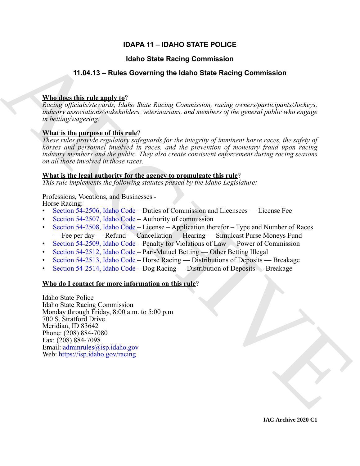# **IDAPA 11 – IDAHO STATE POLICE**

# **Idaho State Racing Commission**

# **11.04.13 – Rules Governing the Idaho State Racing Commission**

### **Who does this rule apply to**?

*Racing officials/stewards, Idaho State Racing Commission, racing owners/participants/Jockeys, industry associations/stakeholders, veterinarians, and members of the general public who engage in betting/wagering.*

# **What is the purpose of this rule**?

*These rules provide regulatory safeguards for the integrity of imminent horse races, the safety of horses and personnel involved in races, and the prevention of monetary fraud upon racing industry members and the public. They also create consistent enforcement during racing seasons on all those involved in those races.*

### **What is the legal authority for the agency to promulgate this rule**?

*This rule implements the following statutes passed by the Idaho Legislature:*

# Professions, Vocations, and Businesses -

Horse Racing:

- Section 54-2506, Idaho Code Duties of Commission and Licensees License Fee
- Section 54-2507, Idaho Code Authority of commission
- Section 54-2508, Idaho Code License Application therefor Type and Number of Races — Fee per day — Refund — Cancellation — Hearing — Simulcast Purse Moneys Fund
- Section 54-2509, Idaho Code Penalty for Violations of Law Power of Commission
- Section 54-2512, Idaho Code Pari-Mutuel Betting Other Betting Illegal
- Section 54-2513, Idaho Code Horse Racing Distributions of Deposits Breakage
- Section 54-2514, Idaho Code Dog Racing Distribution of Deposits Breakage

### **Who do I contact for more information on this rule**?

**14.14.413** – Rules Governing the Idaho State Racing [C](https://legislature.idaho.gov/statutesrules/idstat/Title54/T54CH25/SECT54-2506/)ommission<br>
11.04.13 – Rules Governing the Idaho State Racing Commission<br>
Maddes this relation is the Singer Access Connection racing concerting<br>translations of the sub Idaho State Police Idaho State Racing Commission Monday through Friday, 8:00 a.m. to 5:00 p.m 700 S. Stratford Drive Meridian, ID 83642 Phone: (208) 884-7080 Fax: (208) 884-7098 Email: adminrules@isp.idaho.gov Web: https://isp.idaho.gov/racing

**IAC Archive 2020 C1**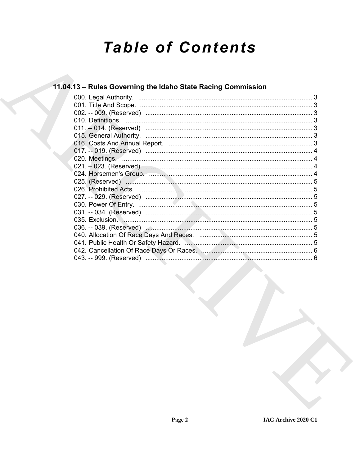# **Table of Contents**

# 11.04.13 - Rules Governing the Idaho State Racing Commission

| 000. Legal Authority.                                                                                                                     |  |
|-------------------------------------------------------------------------------------------------------------------------------------------|--|
|                                                                                                                                           |  |
|                                                                                                                                           |  |
|                                                                                                                                           |  |
|                                                                                                                                           |  |
|                                                                                                                                           |  |
|                                                                                                                                           |  |
|                                                                                                                                           |  |
|                                                                                                                                           |  |
|                                                                                                                                           |  |
|                                                                                                                                           |  |
|                                                                                                                                           |  |
|                                                                                                                                           |  |
|                                                                                                                                           |  |
|                                                                                                                                           |  |
|                                                                                                                                           |  |
|                                                                                                                                           |  |
|                                                                                                                                           |  |
|                                                                                                                                           |  |
|                                                                                                                                           |  |
| 042. Cancellation Of Race Days Or Races. Martin Martin Martin Martin 1994. Cancellation Of Race Days Or Races. Martin Martin Martin 1994. |  |
|                                                                                                                                           |  |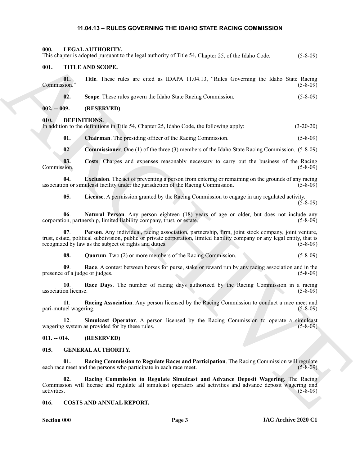#### <span id="page-2-26"></span><span id="page-2-25"></span><span id="page-2-12"></span><span id="page-2-11"></span><span id="page-2-10"></span><span id="page-2-9"></span><span id="page-2-1"></span><span id="page-2-0"></span>**11.04.13 – RULES GOVERNING THE IDAHO STATE RACING COMMISSION**

<span id="page-2-4"></span><span id="page-2-3"></span><span id="page-2-2"></span>This department when the insign collective of Table 34, Charger 25, et las blocks Cock. (3-b-b)<br>
(0). THE AND SCOPE.<br>
(0). The These miss are close as PhaSE (as ThAFA + Schlar Conversing the Editor Shine Kennedictory<br>
(2) **000. LEGAL AUTHORITY.** This chapter is adopted pursuant to the legal authority of Title 54, Chapter 25, of the Idaho Code. (5-8-09) **001. TITLE AND SCOPE. 01. Title**. These rules are cited as IDAPA 11.04.13, "Rules Governing the Idaho State Racing Commission." (5-8-09) **02. Scope**. These rules govern the Idaho State Racing Commission. (5-8-09) **002. -- 009. (RESERVED) 010. DEFINITIONS.** In addition to the definitions in Title 54, Chapter 25, Idaho Code, the following apply: (3-20-20) **01. Chairman**. The presiding officer of the Racing Commission. (5-8-09) **02**. **Commissioner**. One (1) of the three (3) members of the Idaho State Racing Commission. (5-8-09) **03. Costs**. Charges and expenses reasonably necessary to carry out the business of the Racing Commission. (5-8-09) **04. Exclusion**. The act of preventing a person from entering or remaining on the grounds of any racing association or simulcast facility under the jurisdiction of the Racing Commission. (5-8-09) **05. License**. A permission granted by the Racing Commission to engage in any regulated activity. (5-8-09) **06**. **Natural Person**. Any person eighteen (18) years of age or older, but does not include any corporation, partnership, limited liability company, trust, or estate. (5-8-09) **07**. **Person**. Any individual, racing association, partnership, firm, joint stock company, joint venture, trust, estate, political subdivision, public or private corporation, limited liability company or any legal entity, that is recognized by law as the subject of rights and duties. (5-8-09) **08. Quorum**. Two (2) or more members of the Racing Commission. (5-8-09) **09**. **Race**. A contest between horses for purse, stake or reward run by any racing association and in the presence of a judge or judges. (5-8-09)

<span id="page-2-19"></span><span id="page-2-18"></span><span id="page-2-17"></span><span id="page-2-16"></span><span id="page-2-15"></span><span id="page-2-14"></span><span id="page-2-13"></span>**10**. **Race Days**. The number of racing days authorized by the Racing Commission in a racing association license. (5-8-09)

<span id="page-2-20"></span>**11**. **Racing Association**. Any person licensed by the Racing Commission to conduct a race meet and pari-mutuel wagering. (5-8-09) (5-8-09)

<span id="page-2-21"></span>**12**. **Simulcast Operator**. A person licensed by the Racing Commission to operate a simulcast wagering system as provided for by these rules. (5-8-09)

<span id="page-2-5"></span>**011. -- 014. (RESERVED)**

#### <span id="page-2-22"></span><span id="page-2-6"></span>**015. GENERAL AUTHORITY.**

<span id="page-2-23"></span>**01. Racing Commission to Regulate Races and Participation**. The Racing Commission will regulate each race meet and the persons who participate in each race meet. (5-8-09)

<span id="page-2-24"></span>**02. Racing Commission to Regulate Simulcast and Advance Deposit Wagering**. The Racing Commission will license and regulate all simulcast operators and activities and advance deposit wagering and activities. (5-8-09)

#### <span id="page-2-8"></span><span id="page-2-7"></span>**016. COSTS AND ANNUAL REPORT.**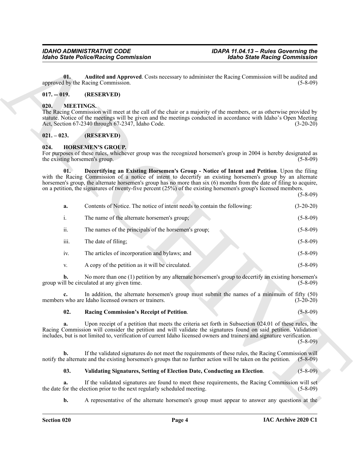#### <span id="page-3-4"></span><span id="page-3-0"></span>**017. -- 019. (RESERVED)**

#### <span id="page-3-9"></span><span id="page-3-1"></span>**020. MEETINGS.**

#### <span id="page-3-2"></span>**021. – 023. (RESERVED)**

#### <span id="page-3-6"></span><span id="page-3-5"></span><span id="page-3-3"></span>**024. HORSEMEN'S GROUP.**

|               | <b>Idaho State Police/Racing Commission</b>                                                                   | <b>Idaho State Racing Commission</b>                                                                                                                                                                                                                                                                                                                                                                                                                                |
|---------------|---------------------------------------------------------------------------------------------------------------|---------------------------------------------------------------------------------------------------------------------------------------------------------------------------------------------------------------------------------------------------------------------------------------------------------------------------------------------------------------------------------------------------------------------------------------------------------------------|
| 01.           | approved by the Racing Commission.                                                                            | Audited and Approved. Costs necessary to administer the Racing Commission will be audited and<br>$(5-8-09)$                                                                                                                                                                                                                                                                                                                                                         |
| $017. - 019.$ | (RESERVED)                                                                                                    |                                                                                                                                                                                                                                                                                                                                                                                                                                                                     |
| 020.          | <b>MEETINGS.</b><br>Act, Section 67-2340 through 67-2347, Idaho Code.                                         | The Racing Commission will meet at the call of the chair or a majority of the members, or as otherwise provided by<br>statute. Notice of the meetings will be given and the meetings conducted in accordance with Idaho's Open Meeting<br>$(3-20-20)$                                                                                                                                                                                                               |
| $021. - 023.$ | (RESERVED)                                                                                                    |                                                                                                                                                                                                                                                                                                                                                                                                                                                                     |
| 024.          | <b>HORSEMEN'S GROUP.</b><br>the existing horsemen's group.                                                    | For purposes of these rules, whichever group was the recognized horsemen's group in 2004 is hereby designated as<br>$(5-8-09)$                                                                                                                                                                                                                                                                                                                                      |
| 01.           |                                                                                                               | Decertifying an Existing Horsemen's Group - Notice of Intent and Petition. Upon the filing<br>with the Racing Commission of a notice of intent to decertify an existing horsemen's group by an alternate<br>horsemen's group, the alternate horsemen's group has no more than six (6) months from the date of filing to acquire,<br>on a petition, the signatures of twenty-five percent $(25%)$ of the existing horsemen's group's licensed members.<br>$(5-8-09)$ |
| a.            | Contents of Notice. The notice of intent needs to contain the following:                                      | $(3-20-20)$                                                                                                                                                                                                                                                                                                                                                                                                                                                         |
| i.            | The name of the alternate horsemen's group;                                                                   | $(5-8-09)$                                                                                                                                                                                                                                                                                                                                                                                                                                                          |
| ii.           | The names of the principals of the horsemen's group;                                                          | $(5-8-09)$                                                                                                                                                                                                                                                                                                                                                                                                                                                          |
| iii.          | The date of filing;                                                                                           | $(5-8-09)$                                                                                                                                                                                                                                                                                                                                                                                                                                                          |
| iv.           | The articles of incorporation and bylaws; and                                                                 | $(5-8-09)$                                                                                                                                                                                                                                                                                                                                                                                                                                                          |
| V.            | A copy of the petition as it will be circulated.                                                              | $(5-8-09)$                                                                                                                                                                                                                                                                                                                                                                                                                                                          |
| b.            | group will be circulated at any given time.                                                                   | No more than one (1) petition by any alternate horsemen's group to decertify an existing horsemen's<br>$(5-8-09)$                                                                                                                                                                                                                                                                                                                                                   |
| c.            | members who are Idaho licensed owners or trainers.                                                            | In addition, the alternate horsemen's group must submit the names of a minimum of fifty (50)<br>$(3-20-20)$                                                                                                                                                                                                                                                                                                                                                         |
| 02.           | Racing Commission's Receipt of Petition.                                                                      | $(5 - 8 - 09)$                                                                                                                                                                                                                                                                                                                                                                                                                                                      |
| a.            |                                                                                                               | Upon receipt of a petition that meets the criteria set forth in Subsection 024.01 of these rules, the<br>Racing Commission will consider the petition and will validate the signatures found on said petition. Validation<br>includes, but is not limited to, verification of current Idaho licensed owners and trainers and signature verification.<br>$(5-8-09)$                                                                                                  |
| b.            | notify the alternate and the existing horsemen's groups that no further action will be taken on the petition. | If the validated signatures do not meet the requirements of these rules, the Racing Commission will<br>$(5-8-09)$                                                                                                                                                                                                                                                                                                                                                   |
| 03.           | Validating Signatures, Setting of Election Date, Conducting an Election.                                      | $(5 - 8 - 09)$                                                                                                                                                                                                                                                                                                                                                                                                                                                      |
| a.            | the date for the election prior to the next regularly scheduled meeting.                                      | If the validated signatures are found to meet these requirements, the Racing Commission will set<br>$(5-8-09)$                                                                                                                                                                                                                                                                                                                                                      |
|               |                                                                                                               | A representative of the alternate horsemen's group must appear to answer any questions at the                                                                                                                                                                                                                                                                                                                                                                       |

#### <span id="page-3-7"></span>**02. Racing Commission's Receipt of Petition**. (5-8-09)

#### <span id="page-3-8"></span>**03. Validating Signatures, Setting of Election Date, Conducting an Election**. (5-8-09)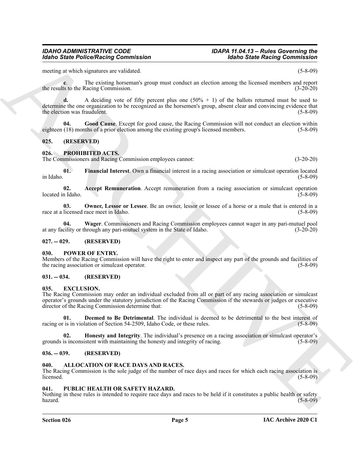#### *IDAHO ADMINISTRATIVE CODE IDAPA 11.04.13 – Rules Governing the Idaho State Police/Racing Commission Idaho State Racing Commission*

meeting at which signatures are validated. (5-8-09)

**c**. The existing horseman's group must conduct an election among the licensed members and report the results to the Racing Commission. (3-20-20)

**d.** A deciding vote of fifty percent plus one (50% + 1) of the ballots returned must be used to determine the one organization to be recognized as the horsemen's group, absent clear and convincing evidence that the election was fraudulent.  $(5-8-09)$ 

<span id="page-4-13"></span>**04. Good Cause**. Except for good cause, the Racing Commission will not conduct an election within eighteen (18) months of a prior election among the existing group's licensed members. (5-8-09)

#### <span id="page-4-0"></span>**025. (RESERVED)**

#### <span id="page-4-15"></span><span id="page-4-1"></span>**026. PROHIBITED ACTS.**

The Commissioners and Racing Commission employees cannot: (3-20-20)

<span id="page-4-17"></span>**01. Financial Interest**. Own a financial interest in a racing association or simulcast operation located in Idaho. (5-8-09)

<span id="page-4-16"></span>**02.** Accept Remuneration. Accept remuneration from a racing association or simulcast operation in Idaho. (5-8-09) located in Idaho.

<span id="page-4-18"></span>**03. Owner, Lessor or Lessee**. Be an owner, lessor or lessee of a horse or a mule that is entered in a race at a licensed race meet in Idaho. (5-8-09)

<span id="page-4-19"></span>**04. Wager**. Commissioners and Racing Commission employees cannot wager in any pari-mutuel pool at any facility or through any pari-mutuel system in the State of Idaho.

#### <span id="page-4-2"></span>**027. -- 029. (RESERVED)**

#### <span id="page-4-14"></span><span id="page-4-3"></span>**030. POWER OF ENTRY.**

Members of the Racing Commission will have the right to enter and inspect any part of the grounds and facilities of the racing association or simulcast operator. (5-8-09) (5-8-09)

#### <span id="page-4-4"></span>**031. -- 034. (RESERVED)**

#### <span id="page-4-10"></span><span id="page-4-5"></span>**035. EXCLUSION.**

Motion State Police/Neising Commission<br>metric, a transformation contribute of the state of the state of the state of the state of the state of the state of the state of the state of the state of the state of the state of The Racing Commission may order an individual excluded from all or part of any racing association or simulcast operator's grounds under the statutory jurisdiction of the Racing Commission if the stewards or judges or executive director of the Racing Commission determine that: (5-8-09) (5-8-09)

<span id="page-4-11"></span>**01. Deemed to Be Detrimental**. The individual is deemed to be detrimental to the best interest of is in violation of Section 54-2509, Idaho Code, or these rules. (5-8-09) racing or is in violation of Section 54-2509, Idaho Code, or these rules.

<span id="page-4-12"></span>**02. Honesty and Integrity**. The individual's presence on a racing association or simulcast operator's grounds is inconsistent with maintaining the honesty and integrity of racing. (5-8-09)

#### <span id="page-4-6"></span>**036. -- 039. (RESERVED)**

#### <span id="page-4-9"></span><span id="page-4-7"></span>**040. ALLOCATION OF RACE DAYS AND RACES.**

The Racing Commission is the sole judge of the number of race days and races for which each racing association is licensed. (5-8-09)  $l$ icensed.  $(5-8-09)$ 

#### <span id="page-4-20"></span><span id="page-4-8"></span>**041. PUBLIC HEALTH OR SAFETY HAZARD.**

Nothing in these rules is intended to require race days and races to be held if it constitutes a public health or safety hazard. (5-8-09)

#### **Section 026 Page 5**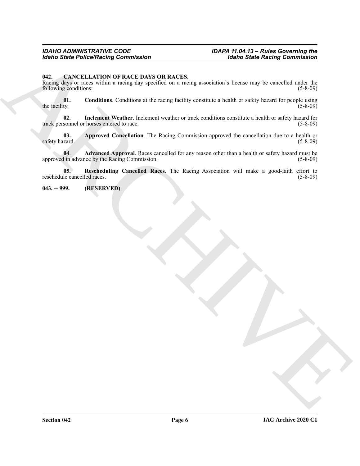# *IDAHO ADMINISTRATIVE CODE IDAPA 11.04.13 – Rules Governing the*

#### <span id="page-5-2"></span><span id="page-5-0"></span>**042. CANCELLATION OF RACE DAYS OR RACES.**

Model Same Policy Reaction Commutation<br>
1943. CANCELLATION CONFIDENCIAL STATES and a residue of the state way be as well of military and the state of the state of the state of the state of the state of the state of the st Racing days or races within a racing day specified on a racing association's license may be cancelled under the following conditions: (5-8-09) following conditions:

<span id="page-5-5"></span>**01.** Conditions. Conditions at the racing facility constitute a health or safety hazard for people using the facility. (5-8-09) the facility.  $(5-8-09)$ 

<span id="page-5-6"></span>**02. Inclement Weather**. Inclement weather or track conditions constitute a health or safety hazard for track personnel or horses entered to race. (5-8-09)

<span id="page-5-4"></span>**03.** Approved Cancellation. The Racing Commission approved the cancellation due to a health or (5-8-09) (5-8-09) safety hazard.

<span id="page-5-3"></span>**04**. **Advanced Approval**. Races cancelled for any reason other than a health or safety hazard must be approved in advance by the Racing Commission. (5-8-09) (5-8-09)

<span id="page-5-7"></span>**05. Rescheduling Cancelled Races**. The Racing Association will make a good-faith effort to reschedule cancelled races. (5-8-09)

#### <span id="page-5-1"></span>**043. -- 999. (RESERVED)**